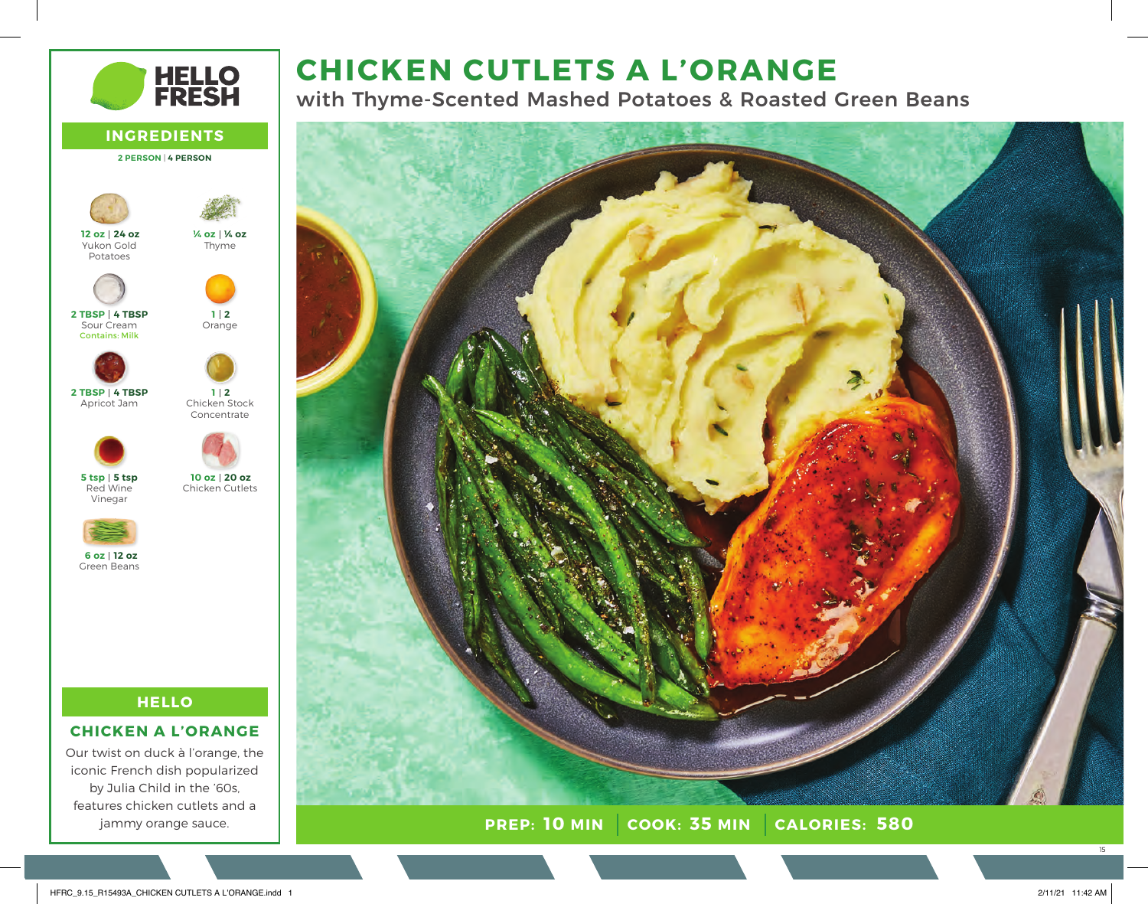# **CHICKEN CUTLETS A L'ORANGE**

with Thyme-Scented Mashed Potatoes & Roasted Green Beans



**PREP: 10 MIN** | COOK: 35 MIN | CALORIES: 580

**HELLO<br>FRESH INGREDIENTS 2 PERSON** | **4 PERSON 24 oz 12 oz ¼ oz ¼ oz** Thyme Yukon Gold Potatoes **4 TBSP 2 TBSP 2 1** Sour Cream Orange Contains: Milk **4 TBSP 2 TBSP 2 1** Chicken Stock Apricot Jam Concentrate **5 tsp 5 tsp 20 oz 10 oz** Red Wine Chicken Cutlets Vinegar **12 oz 6 oz** Green Beans

# **HELLO**

# **CHICKEN A L'ORANGE**

Our twist on duck à l'orange, the iconic French dish popularized by Julia Child in the '60s, features chicken cutlets and a jammy orange sauce.

15